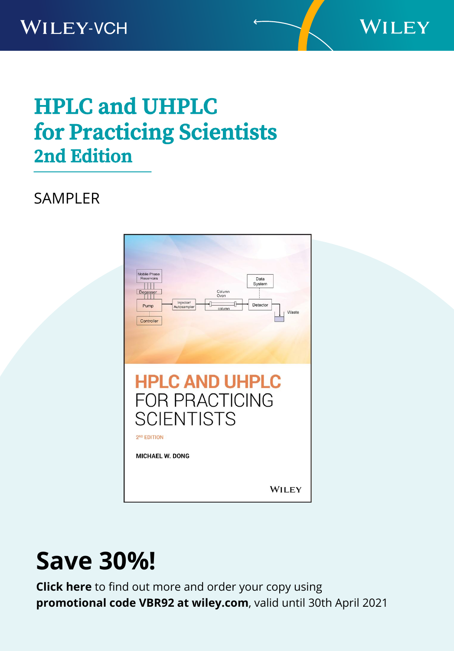**WILEY-VCH** 



## **HPLC and UHPLC for Practicing Scientists 2nd Edition**

### SAMPLER



# **Save 30%!**

**Click here** to find out more and order your copy using **promotional code VBR92 at wiley.com**, valid until 30th April 2021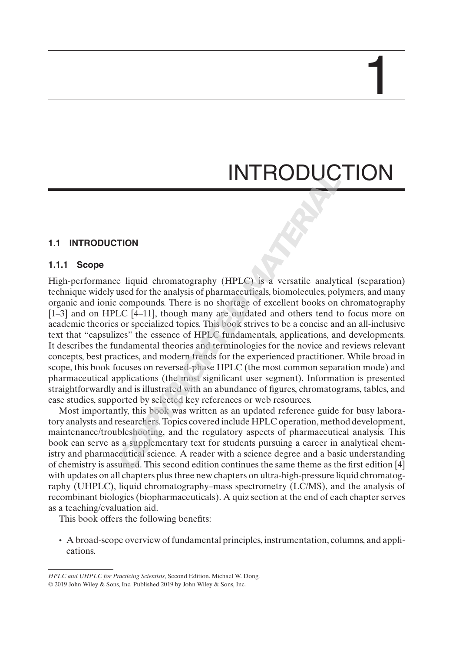# 1

# INTRODUCTION

#### **1.1 INTRODUCTION**

#### **1.1.1 Scope**

❦ ❦ academic theories or specialized topics. This book strives to be a concise and an all-inclusive High-performance liquid chromatography (HPLC) is a versatile analytical (separation) technique widely used for the analysis of pharmaceuticals, biomolecules, polymers, and many organic and ionic compounds. There is no shortage of excellent books on chromatography [1–3] and on HPLC [4–11], though many are outdated and others tend to focus more on text that "capsulizes" the essence of HPLC fundamentals, applications, and developments. It describes the fundamental theories and terminologies for the novice and reviews relevant concepts, best practices, and modern trends for the experienced practitioner. While broad in scope, this book focuses on reversed-phase HPLC (the most common separation mode) and pharmaceutical applications (the most significant user segment). Information is presented straightforwardly and is illustrated with an abundance of figures, chromatograms, tables, and case studies, supported by selected key references or web resources. **COPYTE ATTE ATTLE CONTINUM TRANSPARED**<br>
CE liquid chromatography (HPLC) is a versatile analytive used for the analysis of pharmaceuticals, biomolecules, pole compounds. There is no shortage of excellent books on LC [4-11]

Most importantly, this book was written as an updated reference guide for busy laboratory analysts and researchers. Topics covered include HPLC operation, method development, maintenance/troubleshooting, and the regulatory aspects of pharmaceutical analysis. This book can serve as a supplementary text for students pursuing a career in analytical chemistry and pharmaceutical science. A reader with a science degree and a basic understanding of chemistry is assumed. This second edition continues the same theme as the first edition [4] with updates on all chapters plus three new chapters on ultra-high-pressure liquid chromatography (UHPLC), liquid chromatography–mass spectrometry (LC/MS), and the analysis of recombinant biologics (biopharmaceuticals). A quiz section at the end of each chapter serves as a teaching/evaluation aid.

This book offers the following benefits:

• A broad-scope overview of fundamental principles, instrumentation, columns, and applications.

*HPLC and UHPLC for Practicing Scientists*, Second Edition. Michael W. Dong.

<sup>© 2019</sup> John Wiley & Sons, Inc. Published 2019 by John Wiley & Sons, Inc.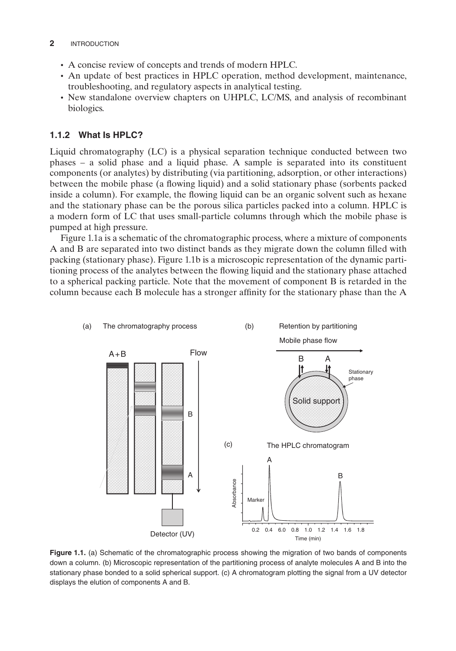#### **2** INTRODUCTION

- A concise review of concepts and trends of modern HPLC.
- An update of best practices in HPLC operation, method development, maintenance, troubleshooting, and regulatory aspects in analytical testing.
- New standalone overview chapters on UHPLC, LC/MS, and analysis of recombinant biologics.

#### **1.1.2 What Is HPLC?**

Liquid chromatography (LC) is a physical separation technique conducted between two phases – a solid phase and a liquid phase. A sample is separated into its constituent components (or analytes) by distributing (via partitioning, adsorption, or other interactions) between the mobile phase (a flowing liquid) and a solid stationary phase (sorbents packed inside a column). For example, the flowing liquid can be an organic solvent such as hexane and the stationary phase can be the porous silica particles packed into a column. HPLC is a modern form of LC that uses small-particle columns through which the mobile phase is pumped at high pressure.

Figure 1.1a is a schematic of the chromatographic process, where a mixture of components A and B are separated into two distinct bands as they migrate down the column filled with packing (stationary phase). Figure 1.1b is a microscopic representation of the dynamic partitioning process of the analytes between the flowing liquid and the stationary phase attached to a spherical packing particle. Note that the movement of component B is retarded in the column because each B molecule has a stronger affinity for the stationary phase than the A



**Figure 1.1.** (a) Schematic of the chromatographic process showing the migration of two bands of components down a column. (b) Microscopic representation of the partitioning process of analyte molecules A and B into the stationary phase bonded to a solid spherical support. (c) A chromatogram plotting the signal from a UV detector displays the elution of components A and B.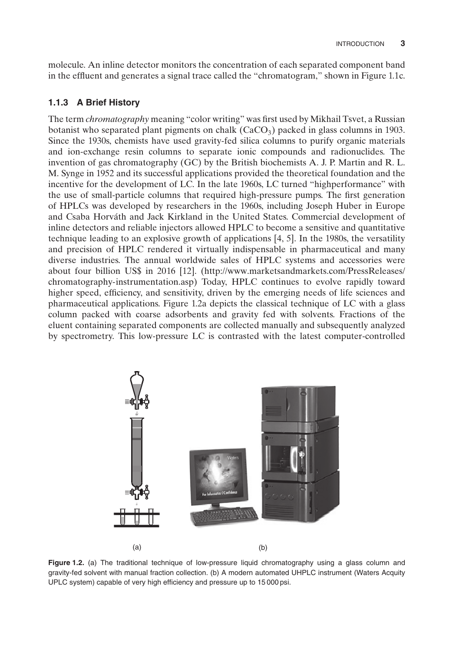molecule. An inline detector monitors the concentration of each separated component band in the effluent and generates a signal trace called the "chromatogram," shown in Figure 1.1c.

#### **1.1.3 A Brief History**

eluent containing separated components are collected manually and subsequently analyzed The term *chromatography* meaning "color writing" was first used by Mikhail Tsvet, a Russian botanist who separated plant pigments on chalk  $(CaCO<sub>3</sub>)$  packed in glass columns in 1903. Since the 1930s, chemists have used gravity-fed silica columns to purify organic materials and ion-exchange resin columns to separate ionic compounds and radionuclides. The invention of gas chromatography (GC) by the British biochemists A. J. P. Martin and R. L. M. Synge in 1952 and its successful applications provided the theoretical foundation and the incentive for the development of LC. In the late 1960s, LC turned "highperformance" with the use of small-particle columns that required high-pressure pumps. The first generation of HPLCs was developed by researchers in the 1960s, including Joseph Huber in Europe and Csaba Horváth and Jack Kirkland in the United States. Commercial development of inline detectors and reliable injectors allowed HPLC to become a sensitive and quantitative technique leading to an explosive growth of applications [4, 5]. In the 1980s, the versatility and precision of HPLC rendered it virtually indispensable in pharmaceutical and many diverse industries. The annual worldwide sales of HPLC systems and accessories were about four billion US\$ in 2016 [12]. (http://www.marketsandmarkets.com/PressReleases/ chromatography-instrumentation.asp) Today, HPLC continues to evolve rapidly toward higher speed, efficiency, and sensitivity, driven by the emerging needs of life sciences and pharmaceutical applications. Figure 1.2a depicts the classical technique of LC with a glass column packed with coarse adsorbents and gravity fed with solvents. Fractions of the by spectrometry. This low-pressure LC is contrasted with the latest computer-controlled



**Figure 1.2.** (a) The traditional technique of low-pressure liquid chromatography using a glass column and gravity-fed solvent with manual fraction collection. (b) A modern automated UHPLC instrument (Waters Acquity UPLC system) capable of very high efficiency and pressure up to 15 000 psi.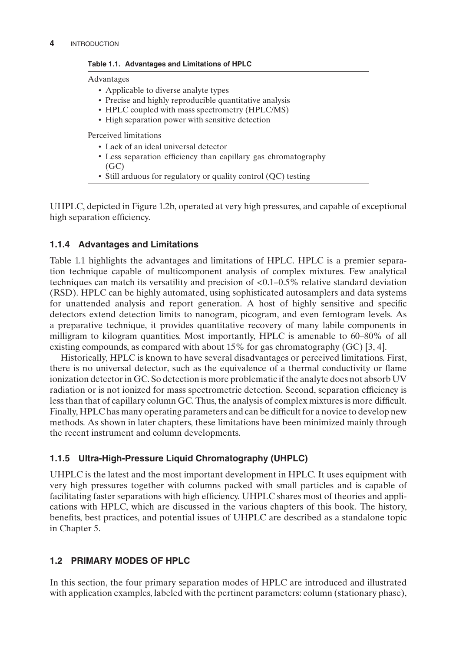#### **Table 1.1. Advantages and Limitations of HPLC**

#### Advantages

- Applicable to diverse analyte types
- Precise and highly reproducible quantitative analysis
- HPLC coupled with mass spectrometry (HPLC/MS)
- High separation power with sensitive detection

Perceived limitations

- Lack of an ideal universal detector
- Less separation efficiency than capillary gas chromatography (GC)
- Still arduous for regulatory or quality control (QC) testing

UHPLC, depicted in Figure 1.2b, operated at very high pressures, and capable of exceptional high separation efficiency.

#### **1.1.4 Advantages and Limitations**

a preparative technique, it provides quantitative recovery of many labile components in Table 1.1 highlights the advantages and limitations of HPLC. HPLC is a premier separation technique capable of multicomponent analysis of complex mixtures. Few analytical techniques can match its versatility and precision of *<*0.1–0.5% relative standard deviation (RSD). HPLC can be highly automated, using sophisticated autosamplers and data systems for unattended analysis and report generation. A host of highly sensitive and specific detectors extend detection limits to nanogram, picogram, and even femtogram levels. As milligram to kilogram quantities. Most importantly, HPLC is amenable to 60–80% of all existing compounds, as compared with about 15% for gas chromatography (GC) [3, 4].

> Historically, HPLC is known to have several disadvantages or perceived limitations. First, there is no universal detector, such as the equivalence of a thermal conductivity or flame ionization detector in GC. So detection is more problematic if the analyte does not absorb UV radiation or is not ionized for mass spectrometric detection. Second, separation efficiency is less than that of capillary column GC. Thus, the analysis of complex mixtures is more difficult. Finally, HPLC has many operating parameters and can be difficult for a novice to develop new methods. As shown in later chapters, these limitations have been minimized mainly through the recent instrument and column developments.

#### **1.1.5 Ultra-High-Pressure Liquid Chromatography (UHPLC)**

UHPLC is the latest and the most important development in HPLC. It uses equipment with very high pressures together with columns packed with small particles and is capable of facilitating faster separations with high efficiency. UHPLC shares most of theories and applications with HPLC, which are discussed in the various chapters of this book. The history, benefits, best practices, and potential issues of UHPLC are described as a standalone topic in Chapter 5.

#### **1.2 PRIMARY MODES OF HPLC**

In this section, the four primary separation modes of HPLC are introduced and illustrated with application examples, labeled with the pertinent parameters: column (stationary phase),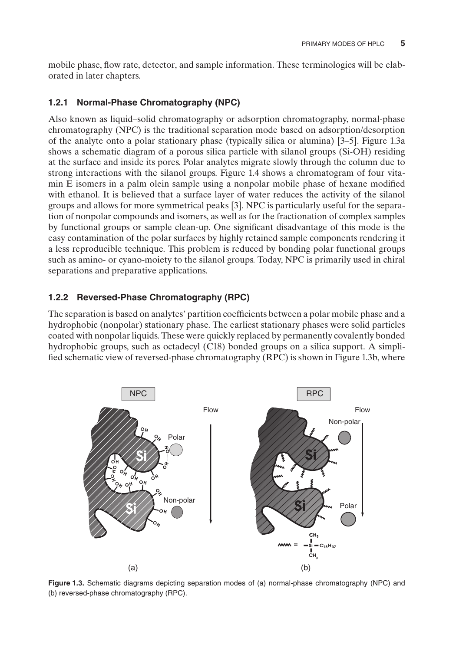mobile phase, flow rate, detector, and sample information. These terminologies will be elaborated in later chapters.

#### **1.2.1 Normal-Phase Chromatography (NPC)**

Also known as liquid–solid chromatography or adsorption chromatography, normal-phase chromatography (NPC) is the traditional separation mode based on adsorption/desorption of the analyte onto a polar stationary phase (typically silica or alumina) [3–5]. Figure 1.3a shows a schematic diagram of a porous silica particle with silanol groups (Si-OH) residing at the surface and inside its pores. Polar analytes migrate slowly through the column due to strong interactions with the silanol groups. Figure 1.4 shows a chromatogram of four vitamin E isomers in a palm olein sample using a nonpolar mobile phase of hexane modified with ethanol. It is believed that a surface layer of water reduces the activity of the silanol groups and allows for more symmetrical peaks [3]. NPC is particularly useful for the separation of nonpolar compounds and isomers, as well as for the fractionation of complex samples by functional groups or sample clean-up. One significant disadvantage of this mode is the easy contamination of the polar surfaces by highly retained sample components rendering it a less reproducible technique. This problem is reduced by bonding polar functional groups such as amino- or cyano-moiety to the silanol groups. Today, NPC is primarily used in chiral separations and preparative applications.

#### **1.2.2 Reversed-Phase Chromatography (RPC)**

❦ ❦ hydrophobic (nonpolar) stationary phase. The earliest stationary phases were solid particles The separation is based on analytes' partition coefficients between a polar mobile phase and a coated with nonpolar liquids. These were quickly replaced by permanently covalently bonded hydrophobic groups, such as octadecyl (C18) bonded groups on a silica support. A simplified schematic view of reversed-phase chromatography (RPC) is shown in Figure 1.3b, where



**Figure 1.3.** Schematic diagrams depicting separation modes of (a) normal-phase chromatography (NPC) and (b) reversed-phase chromatography (RPC).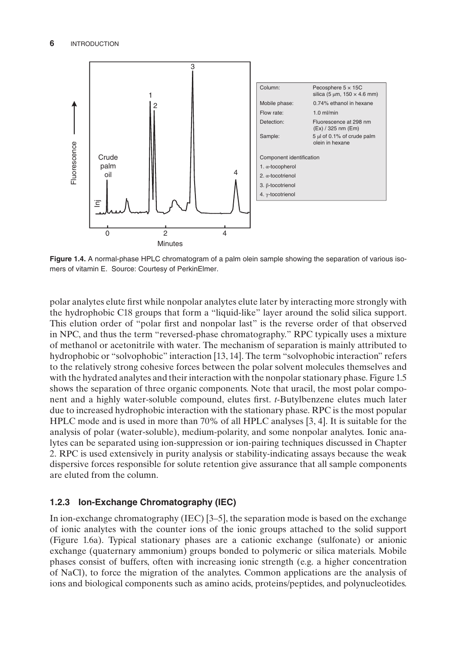

**Figure 1.4.** A normal-phase HPLC chromatogram of a palm olein sample showing the separation of various isomers of vitamin E. Source: Courtesy of PerkinElmer.

This elution order of "polar first and nonpolar last" is the reverse order of that observed polar analytes elute first while nonpolar analytes elute later by interacting more strongly with the hydrophobic C18 groups that form a "liquid-like" layer around the solid silica support. in NPC, and thus the term "reversed-phase chromatography." RPC typically uses a mixture of methanol or acetonitrile with water. The mechanism of separation is mainly attributed to hydrophobic or "solvophobic" interaction [13, 14]. The term "solvophobic interaction" refers to the relatively strong cohesive forces between the polar solvent molecules themselves and with the hydrated analytes and their interaction with the nonpolar stationary phase. Figure 1.5 shows the separation of three organic components. Note that uracil, the most polar component and a highly water-soluble compound, elutes first. *t*-Butylbenzene elutes much later due to increased hydrophobic interaction with the stationary phase. RPC is the most popular HPLC mode and is used in more than 70% of all HPLC analyses [3, 4]. It is suitable for the analysis of polar (water-soluble), medium-polarity, and some nonpolar analytes. Ionic analytes can be separated using ion-suppression or ion-pairing techniques discussed in Chapter 2. RPC is used extensively in purity analysis or stability-indicating assays because the weak dispersive forces responsible for solute retention give assurance that all sample components are eluted from the column.

#### **1.2.3 Ion-Exchange Chromatography (IEC)**

In ion-exchange chromatography (IEC) [3–5], the separation mode is based on the exchange of ionic analytes with the counter ions of the ionic groups attached to the solid support (Figure 1.6a). Typical stationary phases are a cationic exchange (sulfonate) or anionic exchange (quaternary ammonium) groups bonded to polymeric or silica materials. Mobile phases consist of buffers, often with increasing ionic strength (e.g. a higher concentration of NaCl), to force the migration of the analytes. Common applications are the analysis of ions and biological components such as amino acids, proteins/peptides, and polynucleotides.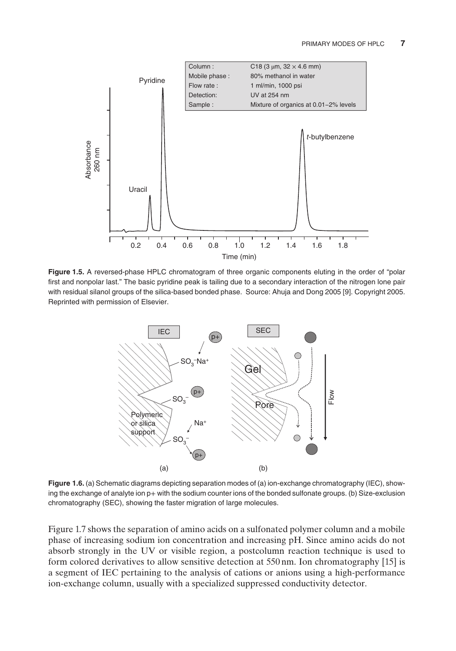

**Figure 1.5.** A reversed-phase HPLC chromatogram of three organic components eluting in the order of "polar first and nonpolar last." The basic pyridine peak is tailing due to a secondary interaction of the nitrogen lone pair with residual silanol groups of the silica-based bonded phase. Source: Ahuja and Dong 2005 [9]. Copyright 2005. Reprinted with permission of Elsevier.



**Figure 1.6.** (a) Schematic diagrams depicting separation modes of (a) ion-exchange chromatography (IEC), showing the exchange of analyte ion p+ with the sodium counter ions of the bonded sulfonate groups. (b) Size-exclusion chromatography (SEC), showing the faster migration of large molecules.

Figure 1.7 shows the separation of amino acids on a sulfonated polymer column and a mobile phase of increasing sodium ion concentration and increasing pH. Since amino acids do not absorb strongly in the UV or visible region, a postcolumn reaction technique is used to form colored derivatives to allow sensitive detection at 550 nm. Ion chromatography [15] is a segment of IEC pertaining to the analysis of cations or anions using a high-performance ion-exchange column, usually with a specialized suppressed conductivity detector.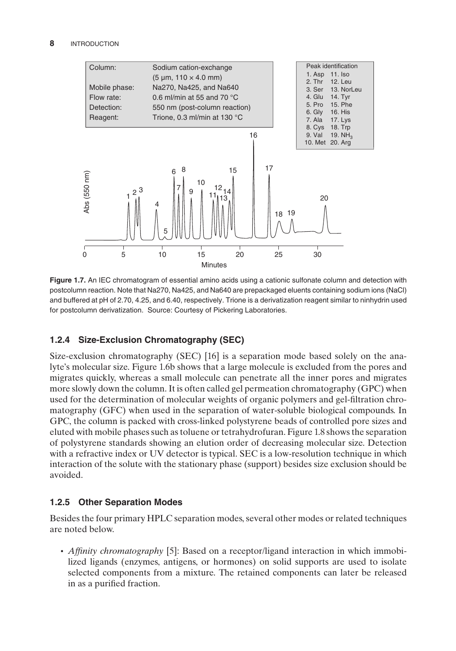

**Figure 1.7.** An IEC chromatogram of essential amino acids using a cationic sulfonate column and detection with postcolumn reaction. Note that Na270, Na425, and Na640 are prepackaged eluents containing sodium ions (NaCl) and buffered at pH of 2.70, 4.25, and 6.40, respectively. Trione is a derivatization reagent similar to ninhydrin used for postcolumn derivatization. Source: Courtesy of Pickering Laboratories.

#### **1.2.4 Size-Exclusion Chromatography (SEC)**

Size-exclusion chromatography (SEC) [16] is a separation mode based solely on the analyte's molecular size. Figure 1.6b shows that a large molecule is excluded from the pores and migrates quickly, whereas a small molecule can penetrate all the inner pores and migrates more slowly down the column. It is often called gel permeation chromatography (GPC) when used for the determination of molecular weights of organic polymers and gel-filtration chromatography (GFC) when used in the separation of water-soluble biological compounds. In GPC, the column is packed with cross-linked polystyrene beads of controlled pore sizes and eluted with mobile phases such as toluene or tetrahydrofuran. Figure 1.8 shows the separation of polystyrene standards showing an elution order of decreasing molecular size. Detection with a refractive index or UV detector is typical. SEC is a low-resolution technique in which interaction of the solute with the stationary phase (support) besides size exclusion should be avoided.

#### **1.2.5 Other Separation Modes**

Besides the four primary HPLC separation modes, several other modes or related techniques are noted below.

• *Affinity chromatography* [5]: Based on a receptor/ligand interaction in which immobilized ligands (enzymes, antigens, or hormones) on solid supports are used to isolate selected components from a mixture. The retained components can later be released in as a purified fraction.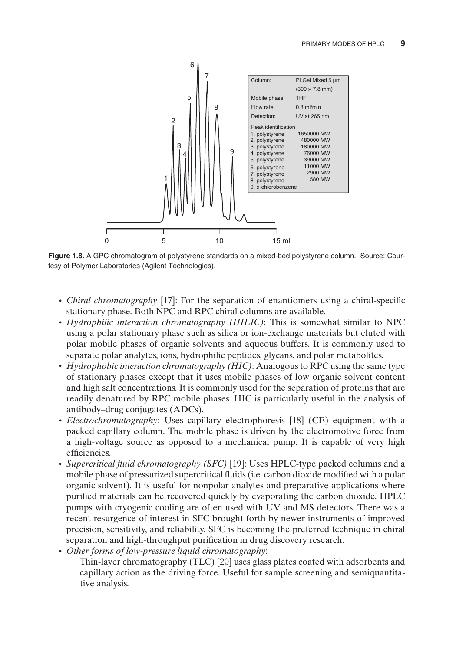

**Figure 1.8.** A GPC chromatogram of polystyrene standards on a mixed-bed polystyrene column. Source: Courtesy of Polymer Laboratories (Agilent Technologies).

- *Chiral chromatography* [17]: For the separation of enantiomers using a chiral-specific stationary phase. Both NPC and RPC chiral columns are available.
- *Hydrophilic interaction chromatography (HILIC)*: This is somewhat similar to NPC using a polar stationary phase such as silica or ion-exchange materials but eluted with polar mobile phases of organic solvents and aqueous buffers. It is commonly used to separate polar analytes, ions, hydrophilic peptides, glycans, and polar metabolites.
	- *Hydrophobic interaction chromatography (HIC)*: Analogous to RPC using the same type of stationary phases except that it uses mobile phases of low organic solvent content and high salt concentrations. It is commonly used for the separation of proteins that are readily denatured by RPC mobile phases. HIC is particularly useful in the analysis of antibody–drug conjugates (ADCs).
	- *Electrochromatography*: Uses capillary electrophoresis [18] (CE) equipment with a packed capillary column. The mobile phase is driven by the electromotive force from a high-voltage source as opposed to a mechanical pump. It is capable of very high efficiencies.
	- *Supercritical fluid chromatography (SFC)* [19]: Uses HPLC-type packed columns and a mobile phase of pressurized supercritical fluids (i.e. carbon dioxide modified with a polar organic solvent). It is useful for nonpolar analytes and preparative applications where purified materials can be recovered quickly by evaporating the carbon dioxide. HPLC pumps with cryogenic cooling are often used with UV and MS detectors. There was a recent resurgence of interest in SFC brought forth by newer instruments of improved precision, sensitivity, and reliability. SFC is becoming the preferred technique in chiral separation and high-throughput purification in drug discovery research.
	- *Other forms of low-pressure liquid chromatography*:
		- Thin-layer chromatography (TLC) [20] uses glass plates coated with adsorbents and capillary action as the driving force. Useful for sample screening and semiquantitative analysis.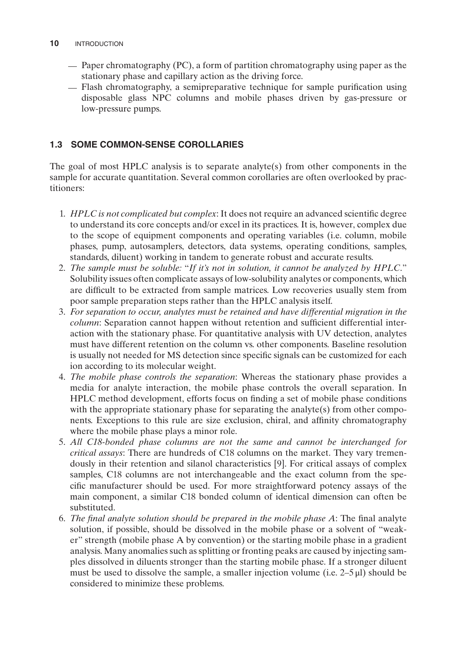#### **10** INTRODUCTION

- Paper chromatography (PC), a form of partition chromatography using paper as the stationary phase and capillary action as the driving force.
- Flash chromatography, a semipreparative technique for sample purification using disposable glass NPC columns and mobile phases driven by gas-pressure or low-pressure pumps.

#### **1.3 SOME COMMON-SENSE COROLLARIES**

The goal of most HPLC analysis is to separate analyte(s) from other components in the sample for accurate quantitation. Several common corollaries are often overlooked by practitioners:

- 1. *HPLC is not complicated but complex*: It does not require an advanced scientific degree to understand its core concepts and/or excel in its practices. It is, however, complex due to the scope of equipment components and operating variables (i.e. column, mobile phases, pump, autosamplers, detectors, data systems, operating conditions, samples, standards, diluent) working in tandem to generate robust and accurate results.
- 2. *The sample must be soluble:* "*If it's not in solution, it cannot be analyzed by HPLC*." Solubility issues often complicate assays of low-solubility analytes or components, which are difficult to be extracted from sample matrices. Low recoveries usually stem from poor sample preparation steps rather than the HPLC analysis itself.
- column: Separation cannot happen without retention and sufficient differential inter-3. *For separation to occur, analytes must be retained and have differential migration in the* action with the stationary phase. For quantitative analysis with UV detection, analytes must have different retention on the column vs. other components. Baseline resolution is usually not needed for MS detection since specific signals can be customized for each ion according to its molecular weight.
	- 4. *The mobile phase controls the separation*: Whereas the stationary phase provides a media for analyte interaction, the mobile phase controls the overall separation. In HPLC method development, efforts focus on finding a set of mobile phase conditions with the appropriate stationary phase for separating the analyte(s) from other components. Exceptions to this rule are size exclusion, chiral, and affinity chromatography where the mobile phase plays a minor role.
	- 5. *All C18-bonded phase columns are not the same and cannot be interchanged for critical assays*: There are hundreds of C18 columns on the market. They vary tremendously in their retention and silanol characteristics [9]. For critical assays of complex samples, C18 columns are not interchangeable and the exact column from the specific manufacturer should be used. For more straightforward potency assays of the main component, a similar C18 bonded column of identical dimension can often be substituted.
	- 6. *The final analyte solution should be prepared in the mobile phase A*: The final analyte solution, if possible, should be dissolved in the mobile phase or a solvent of "weaker" strength (mobile phase A by convention) or the starting mobile phase in a gradient analysis. Many anomalies such as splitting or fronting peaks are caused by injecting samples dissolved in diluents stronger than the starting mobile phase. If a stronger diluent must be used to dissolve the sample, a smaller injection volume (i.e. 2–5 μl) should be considered to minimize these problems.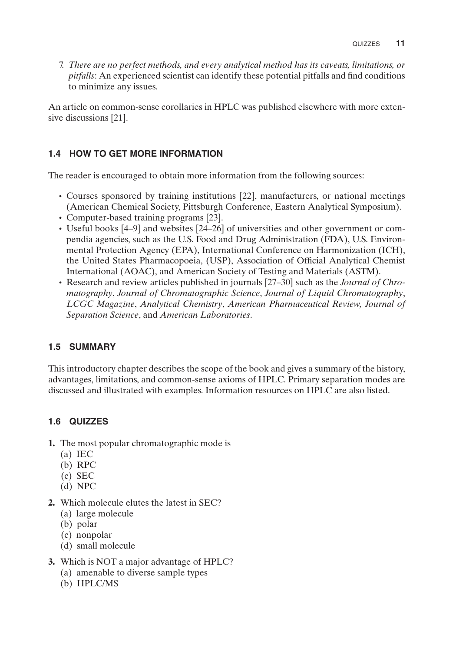7. *There are no perfect methods, and every analytical method has its caveats, limitations, or pitfalls*: An experienced scientist can identify these potential pitfalls and find conditions to minimize any issues.

An article on common-sense corollaries in HPLC was published elsewhere with more extensive discussions [21].

### **1.4 HOW TO GET MORE INFORMATION**

The reader is encouraged to obtain more information from the following sources:

- Courses sponsored by training institutions [22], manufacturers, or national meetings (American Chemical Society, Pittsburgh Conference, Eastern Analytical Symposium).
- Computer-based training programs [23].
- Useful books [4–9] and websites [24–26] of universities and other government or compendia agencies, such as the U.S. Food and Drug Administration (FDA), U.S. Environmental Protection Agency (EPA), International Conference on Harmonization (ICH), the United States Pharmacopoeia, (USP), Association of Official Analytical Chemist International (AOAC), and American Society of Testing and Materials (ASTM).
- Research and review articles published in journals [27–30] such as the *Journal of Chromatography*, *Journal of Chromatographic Science*, *Journal of Liquid Chromatography*, *LCGC Magazine*, *Analytical Chemistry*, *American Pharmaceutical Review, Journal of Separation Science*, and *American Laboratories*.

#### **1.5 SUMMARY**

This introductory chapter describes the scope of the book and gives a summary of the history, advantages, limitations, and common-sense axioms of HPLC. Primary separation modes are discussed and illustrated with examples. Information resources on HPLC are also listed.

#### **1.6 QUIZZES**

- **1.** The most popular chromatographic mode is
	- (a) IEC
	- (b) RPC
	- (c) SEC
	- (d) NPC
- **2.** Which molecule elutes the latest in SEC?
	- (a) large molecule
	- (b) polar
	- (c) nonpolar
	- (d) small molecule
- **3.** Which is NOT a major advantage of HPLC?
	- (a) amenable to diverse sample types
	- (b) HPLC/MS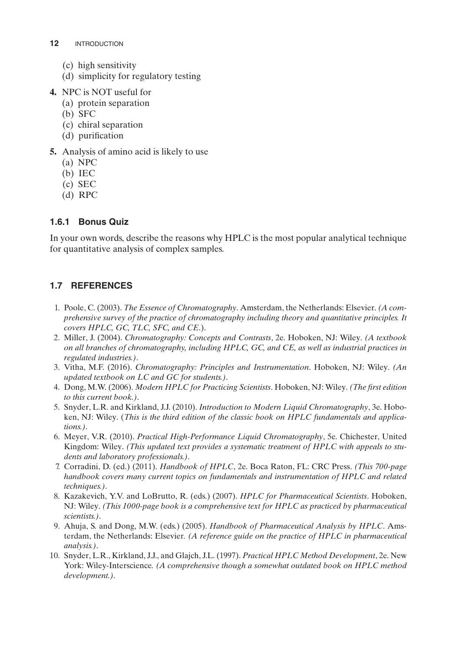#### **12** INTRODUCTION

- (c) high sensitivity
- (d) simplicity for regulatory testing

#### **4.** NPC is NOT useful for

- (a) protein separation
- (b) SFC
- (c) chiral separation
- (d) purification
- **5.** Analysis of amino acid is likely to use
	- (a) NPC
	- (b) IEC
	- (c) SEC
	- (d) RPC

#### **1.6.1 Bonus Quiz**

In your own words, describe the reasons why HPLC is the most popular analytical technique for quantitative analysis of complex samples.

### **1.7 REFERENCES**

- $\frac{1}{2}$  *covers HPLC, GC, TLC, SFC, and CE.*). 1. Poole, C. (2003). *The Essence of Chromatography*. Amsterdam, the Netherlands: Elsevier. *(A comprehensive survey of the practice of chromatography including theory and quantitative principles. It*
	- 2. Miller, J. (2004). *Chromatography: Concepts and Contrasts*, 2e. Hoboken, NJ: Wiley. *(A textbook on all branches of chromatography, including HPLC, GC, and CE, as well as industrial practices in regulated industries.)*.
	- 3. Vitha, M.F. (2016). *Chromatography: Principles and Instrumentation*. Hoboken, NJ: Wiley. *(An updated textbook on LC and GC for students.)*.
	- 4. Dong, M.W. (2006). *Modern HPLC for Practicing Scientists*. Hoboken, NJ: Wiley. *(The first edition to this current book.)*.
	- 5. Snyder, L.R. and Kirkland, J.J. (2010). *Introduction to Modern Liquid Chromatography*, 3e. Hoboken, NJ: Wiley. (*This is the third edition of the classic book on HPLC fundamentals and applications.)*.
	- 6. Meyer, V.R. (2010). *Practical High-Performance Liquid Chromatography*, 5e. Chichester, United Kingdom: Wiley. *(This updated text provides a systematic treatment of HPLC with appeals to students and laboratory professionals.)*.
	- 7. Corradini, D. (ed.) (2011). *Handbook of HPLC*, 2e. Boca Raton, FL: CRC Press. *(This 700-page handbook covers many current topics on fundamentals and instrumentation of HPLC and related techniques.)*.
	- 8. Kazakevich, Y.V. and LoBrutto, R. (eds.) (2007). *HPLC for Pharmaceutical Scientists*. Hoboken, NJ: Wiley. *(This 1000-page book is a comprehensive text for HPLC as practiced by pharmaceutical scientists.)*.
	- 9. Ahuja, S. and Dong, M.W. (eds.) (2005). *Handbook of Pharmaceutical Analysis by HPLC*. Amsterdam, the Netherlands: Elsevier*. (A reference guide on the practice of HPLC in pharmaceutical analysis.)*.
	- 10. Snyder, L.R., Kirkland, J.J., and Glajch, J.L. (1997). *Practical HPLC Method Development*, 2e. New York: Wiley-Interscience*. (A comprehensive though a somewhat outdated book on HPLC method development.)*.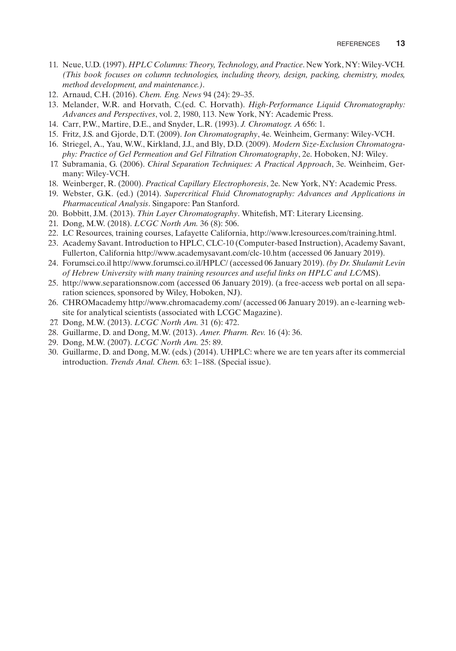- 11. Neue, U.D. (1997). *HPLC Columns: Theory, Technology, and Practice*. New York, NY: Wiley-VCH*. (This book focuses on column technologies, including theory, design, packing, chemistry, modes, method development, and maintenance.)*.
- 12. Arnaud, C.H. (2016). *Chem. Eng. News* 94 (24): 29–35.
- 13. Melander, W.R. and Horvath, C.(ed. C. Horvath). *High-Performance Liquid Chromatography: Advances and Perspectives*, vol. 2, 1980, 113. New York, NY: Academic Press.
- 14. Carr, P.W., Martire, D.E., and Snyder, L.R. (1993). *J. Chromatogr. A* 656: 1.
- 15. Fritz, J.S. and Gjorde, D.T. (2009). *Ion Chromatography*, 4e. Weinheim, Germany: Wiley-VCH.
- 16. Striegel, A., Yau, W.W., Kirkland, J.J., and Bly, D.D. (2009). *Modern Size-Exclusion Chromatography: Practice of Gel Permeation and Gel Filtration Chromatography*, 2e. Hoboken, NJ: Wiley.
- 17. Subramania, G. (2006). *Chiral Separation Techniques: A Practical Approach*, 3e. Weinheim, Germany: Wiley-VCH.
- 18. Weinberger, R. (2000). *Practical Capillary Electrophoresis*, 2e. New York, NY: Academic Press.
- 19. Webster, G.K. (ed.) (2014). *Supercritical Fluid Chromatography: Advances and Applications in Pharmaceutical Analysis*. Singapore: Pan Stanford.
- 20. Bobbitt, J.M. (2013). *Thin Layer Chromatography*. Whitefish, MT: Literary Licensing.
- 21. Dong, M.W. (2018). *LCGC North Am.* 36 (8): 506.
- 22. LC Resources, training courses, Lafayette California, http://www.lcresources.com/training.html.
- 23. Academy Savant. Introduction to HPLC, CLC-10 (Computer-based Instruction), Academy Savant, Fullerton, California http://www.academysavant.com/clc-10.htm (accessed 06 January 2019).
- 24. Forumsci.co.il http://www.forumsci.co.il/HPLC/(accessed 06 January 2019).*(by Dr. Shulamit Levin of Hebrew University with many training resources and useful links on HPLC and LC/*MS).
- 25. http://www.separationsnow.com (accessed 06 January 2019). (a free-access web portal on all separation sciences, sponsored by Wiley, Hoboken, NJ).
- 26. CHROMacademy http://www.chromacademy.com/ (accessed 06 January 2019). an e-learning website for analytical scientists (associated with LCGC Magazine).
- ❦ ❦ 27. Dong, M.W. (2013). *LCGC North Am.* 31 (6): 472.
	- 28. Guillarme, D. and Dong, M.W. (2013). *Amer. Pharm. Rev.* 16 (4): 36.
	- 29. Dong, M.W. (2007). *LCGC North Am.* 25: 89.
	- 30. Guillarme, D. and Dong, M.W. (eds.) (2014). UHPLC: where we are ten years after its commercial introduction. *Trends Anal. Chem.* 63: 1–188. (Special issue).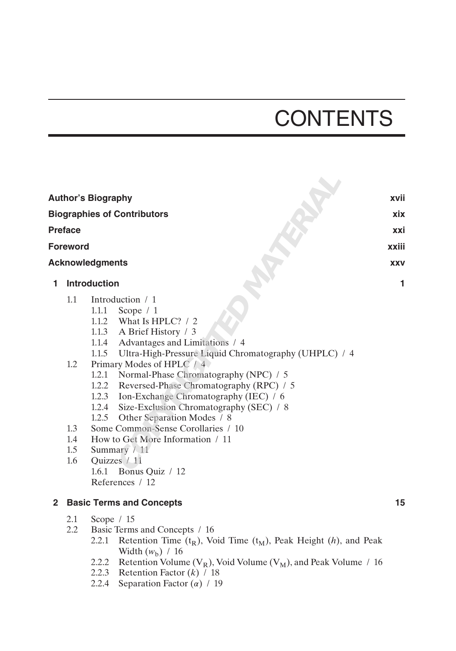# **CONTENTS**

|                                                                         | <b>Author's Biography</b>                                                                                                                                                                                                                                                                                                                                                                                                                                                                                                                                                                                                                                                          | xvii       |                        |
|-------------------------------------------------------------------------|------------------------------------------------------------------------------------------------------------------------------------------------------------------------------------------------------------------------------------------------------------------------------------------------------------------------------------------------------------------------------------------------------------------------------------------------------------------------------------------------------------------------------------------------------------------------------------------------------------------------------------------------------------------------------------|------------|------------------------|
| <b>Biographies of Contributors</b><br><b>Preface</b><br><b>Foreword</b> |                                                                                                                                                                                                                                                                                                                                                                                                                                                                                                                                                                                                                                                                                    | xix<br>xxi |                        |
|                                                                         |                                                                                                                                                                                                                                                                                                                                                                                                                                                                                                                                                                                                                                                                                    |            | xxiii                  |
|                                                                         |                                                                                                                                                                                                                                                                                                                                                                                                                                                                                                                                                                                                                                                                                    |            | <b>Acknowledgments</b> |
| 1                                                                       | Introduction                                                                                                                                                                                                                                                                                                                                                                                                                                                                                                                                                                                                                                                                       | 1          |                        |
|                                                                         | 1.1<br>Introduction / 1<br>1.1.1<br>Scope $/1$<br>1.1.2 What Is HPLC? / 2<br>1.1.3 A Brief History / 3<br>1.1.4 Advantages and Limitations / 4<br>1.1.5<br>Ultra-High-Pressure Liquid Chromatography (UHPLC) / 4<br>Primary Modes of HPLC / 4<br>1.2<br>Normal-Phase Chromatography (NPC) / 5<br>1.2.1<br>1.2.2 Reversed-Phase Chromatography (RPC) / 5<br>1.2.3 Ion-Exchange Chromatography (IEC) / 6<br>1.2.4 Size-Exclusion Chromatography (SEC) / 8<br>Other Separation Modes / 8<br>1.2.5<br>Some Common-Sense Corollaries / 10<br>1.3<br>1.4<br>How to Get More Information / 11<br>1.5<br>Summary $/11$<br>1.6<br>Quizzes / 11<br>1.6.1 Bonus Quiz $/12$<br>References / 12 |            |                        |
| $\mathbf{2}$                                                            | <b>Basic Terms and Concepts</b>                                                                                                                                                                                                                                                                                                                                                                                                                                                                                                                                                                                                                                                    | 15         |                        |
|                                                                         | 2.1<br>Scope $/15$<br>2.2<br>Basic Terms and Concepts / 16<br>Retention Time $(t_R)$ , Void Time $(t_M)$ , Peak Height $(h)$ , and Peak<br>2.2.1<br>Width $(w_h) / 16$<br>Retention Volume $(V_R)$ , Void Volume $(V_M)$ , and Peak Volume / 16<br>2.2.2                                                                                                                                                                                                                                                                                                                                                                                                                           |            |                        |

- 2.2.3 Retention Factor (*k*) / 18
- 2.2.4 Separation Factor  $(\alpha)$  / 19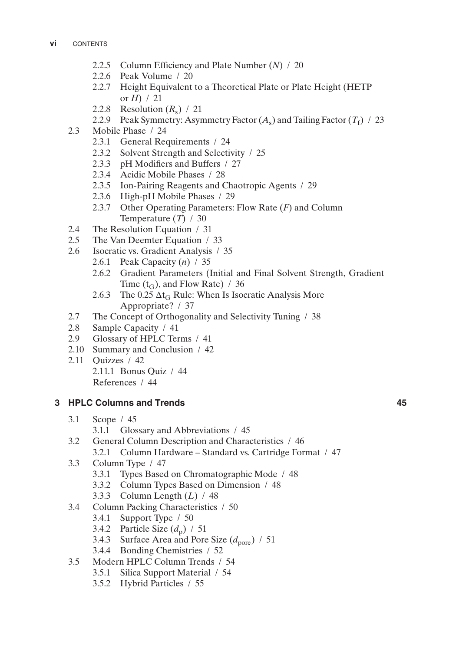- 2.2.5 Column Efficiency and Plate Number (*N*) / 20
- 2.2.6 Peak Volume / 20
- 2.2.7 Height Equivalent to a Theoretical Plate or Plate Height (HETP or *H*) / 21
- 2.2.8 Resolution  $(R<sub>s</sub>)$  / 21
- 2.2.9 Peak Symmetry: Asymmetry Factor  $(A_s)$  and Tailing Factor  $(T_f)$  / 23
- 2.3 Mobile Phase / 24
	- 2.3.1 General Requirements / 24
	- 2.3.2 Solvent Strength and Selectivity / 25
	- 2.3.3 pH Modifiers and Buffers / 27
	- 2.3.4 Acidic Mobile Phases / 28
	- 2.3.5 Ion-Pairing Reagents and Chaotropic Agents / 29
	- 2.3.6 High-pH Mobile Phases / 29
	- 2.3.7 Other Operating Parameters: Flow Rate (*F*) and Column Temperature (*T*) / 30
- 2.4 The Resolution Equation / 31
- 2.5 The Van Deemter Equation / 33
- 2.6 Isocratic vs. Gradient Analysis / 35
	- 2.6.1 Peak Capacity (*n*) / 35
	- 2.6.2 Gradient Parameters (Initial and Final Solvent Strength, Gradient Time  $(t_G)$ , and Flow Rate) / 36
	- 2.6.3 The 0.25  $\Delta t_G$  Rule: When Is Isocratic Analysis More Appropriate? / 37
- 2.7 The Concept of Orthogonality and Selectivity Tuning / 38
- 2.8 Sample Capacity / 41
	- 2.9 Glossary of HPLC Terms / 41
	- 2.10 Summary and Conclusion / 42
	- 2.11 Quizzes / 42 2.11.1 Bonus Quiz / 44 References / 44

#### **3 HPLC Columns and Trends 45**

- 3.1 Scope / 45
	- 3.1.1 Glossary and Abbreviations / 45
- 3.2 General Column Description and Characteristics / 46
	- 3.2.1 Column Hardware Standard vs. Cartridge Format / 47
- 3.3 Column Type / 47
	- 3.3.1 Types Based on Chromatographic Mode / 48
	- 3.3.2 Column Types Based on Dimension / 48
	- 3.3.3 Column Length (*L*) / 48
- 3.4 Column Packing Characteristics / 50
	- 3.4.1 Support Type / 50
	- 3.4.2 Particle Size  $(d_p)$  / 51
	- 3.4.3 Surface Area and Pore Size  $(d_{\text{pore}})$  / 51
	- 3.4.4 Bonding Chemistries / 52
- 3.5 Modern HPLC Column Trends / 54
	- 3.5.1 Silica Support Material / 54
	- 3.5.2 Hybrid Particles / 55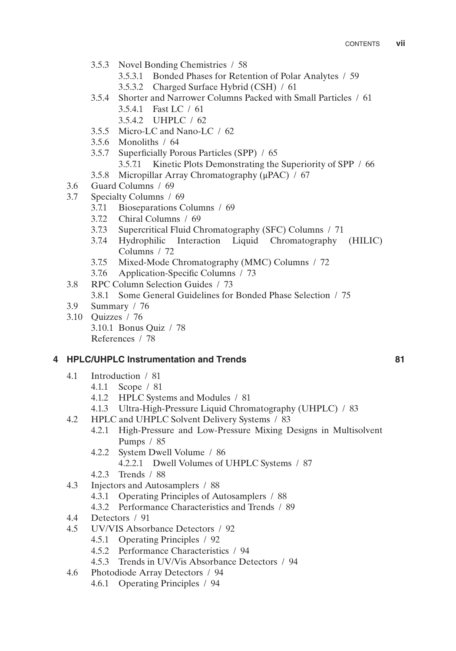- 3.5.3 Novel Bonding Chemistries / 58
	- 3.5.3.1 Bonded Phases for Retention of Polar Analytes / 59
	- 3.5.3.2 Charged Surface Hybrid (CSH) / 61
- 3.5.4 Shorter and Narrower Columns Packed with Small Particles / 61 3.5.4.1 Fast LC / 61
	- 3.5.4.2 UHPLC / 62
- 3.5.5 Micro-LC and Nano-LC / 62
- 3.5.6 Monoliths / 64
- 3.5.7 Superficially Porous Particles (SPP) / 65
	- 3.5.7.1 Kinetic Plots Demonstrating the Superiority of SPP / 66
- 3.5.8 Micropillar Array Chromatography (μPAC) / 67
- 3.6 Guard Columns / 69
- 3.7 Specialty Columns / 69
	- 3.7.1 Bioseparations Columns / 69
	- 3.7.2 Chiral Columns / 69<br>3.7.3 Supercritical Fluid Ch
	- Supercritical Fluid Chromatography (SFC) Columns / 71
	- 3.7.4 Hydrophilic Interaction Liquid Chromatography (HILIC) Columns / 72
	- 3.7.5 Mixed-Mode Chromatography (MMC) Columns / 72
	- 3.7.6 Application-Specific Columns / 73
- 3.8 RPC Column Selection Guides / 73
	- 3.8.1 Some General Guidelines for Bonded Phase Selection / 75
- 3.9 Summary / 76
- ❦ ❦ 3.10.1 Bonus Quiz / 78 3.10 Quizzes / 76 References / 78

#### **4 HPLC/UHPLC Instrumentation and Trends 81**

- 4.1 Introduction / 81
	- 4.1.1 Scope / 81
	- 4.1.2 HPLC Systems and Modules / 81
	- 4.1.3 Ultra-High-Pressure Liquid Chromatography (UHPLC) / 83
- 4.2 HPLC and UHPLC Solvent Delivery Systems / 83
	- 4.2.1 High-Pressure and Low-Pressure Mixing Designs in Multisolvent Pumps / 85
	- 4.2.2 System Dwell Volume / 86
		- 4.2.2.1 Dwell Volumes of UHPLC Systems / 87
	- 4.2.3 Trends / 88
- 4.3 Injectors and Autosamplers / 88
	- 4.3.1 Operating Principles of Autosamplers / 88
	- 4.3.2 Performance Characteristics and Trends / 89
- 4.4 Detectors / 91
- 4.5 UV/VIS Absorbance Detectors / 92
	- 4.5.1 Operating Principles / 92
	- 4.5.2 Performance Characteristics / 94
	- 4.5.3 Trends in UV/Vis Absorbance Detectors / 94
- 4.6 Photodiode Array Detectors / 94
	- 4.6.1 Operating Principles / 94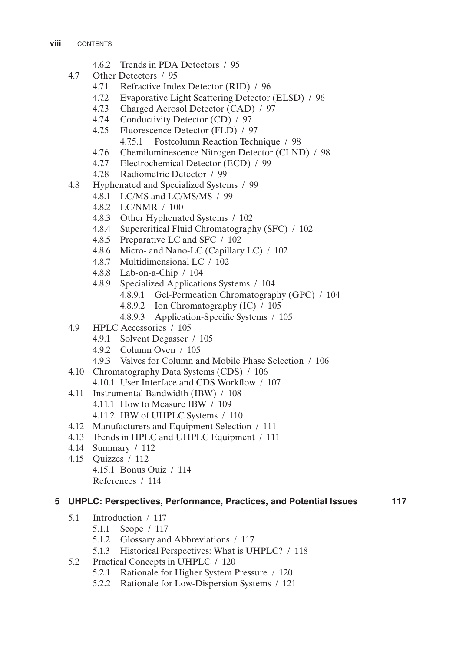- 4.6.2 Trends in PDA Detectors / 95
- 4.7 Other Detectors / 95
	- 4.7.1 Refractive Index Detector (RID) / 96
	- 4.7.2 Evaporative Light Scattering Detector (ELSD) / 96
	- 4.7.3 Charged Aerosol Detector (CAD) / 97
	- 4.7.4 Conductivity Detector (CD) / 97
	- 4.7.5 Fluorescence Detector (FLD) / 97 4.7.5.1 Postcolumn Reaction Technique / 98
	- 4.7.6 Chemiluminescence Nitrogen Detector (CLND) / 98
	- 4.7.7 Electrochemical Detector (ECD) / 99
	- 4.7.8 Radiometric Detector / 99
- 4.8 Hyphenated and Specialized Systems / 99
	- 4.8.1 LC/MS and LC/MS/MS / 99
	- 4.8.2 LC/NMR / 100
	- 4.8.3 Other Hyphenated Systems / 102
	- 4.8.4 Supercritical Fluid Chromatography (SFC) / 102
	- 4.8.5 Preparative LC and SFC / 102
	- 4.8.6 Micro- and Nano-LC (Capillary LC) / 102
	- 4.8.7 Multidimensional LC / 102
	- 4.8.8 Lab-on-a-Chip / 104
	- 4.8.9 Specialized Applications Systems / 104
		- 4.8.9.1 Gel-Permeation Chromatography (GPC) / 104
			- 4.8.9.2 Ion Chromatography (IC) / 105
			- 4.8.9.3 Application-Specific Systems / 105
- 4.9 HPLC Accessories / 105
	- 4.9.1 Solvent Degasser / 105
	- 4.9.2 Column Oven / 105
	- 4.9.3 Valves for Column and Mobile Phase Selection / 106
	- 4.10 Chromatography Data Systems (CDS) / 106
		- 4.10.1 User Interface and CDS Workflow / 107
	- 4.11 Instrumental Bandwidth (IBW) / 108 4.11.1 How to Measure IBW / 109 4.11.2 IBW of UHPLC Systems / 110
	- 4.12 Manufacturers and Equipment Selection / 111
	- 4.13 Trends in HPLC and UHPLC Equipment / 111
	- 4.14 Summary / 112
	- 4.15 Quizzes / 112 4.15.1 Bonus Quiz / 114 References / 114

#### **5 UHPLC: Perspectives, Performance, Practices, and Potential Issues 117**

- 5.1 Introduction / 117
	- 5.1.1 Scope / 117
	- 5.1.2 Glossary and Abbreviations / 117
	- 5.1.3 Historical Perspectives: What is UHPLC? / 118
- 5.2 Practical Concepts in UHPLC / 120
	- 5.2.1 Rationale for Higher System Pressure / 120
	- 5.2.2 Rationale for Low-Dispersion Systems / 121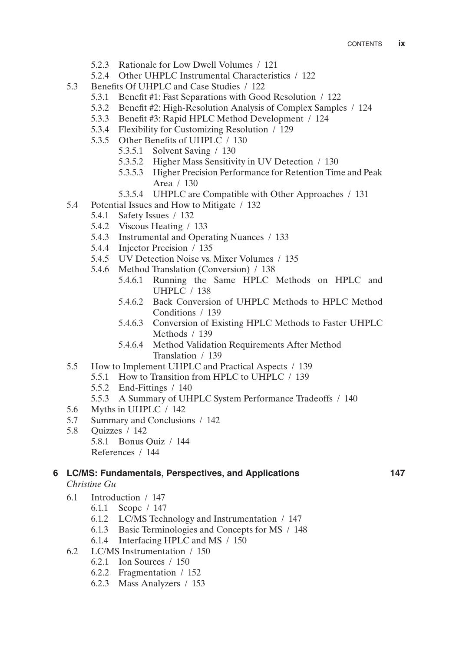- 5.2.3 Rationale for Low Dwell Volumes / 121
- 5.2.4 Other UHPLC Instrumental Characteristics / 122
- 5.3 Benefits Of UHPLC and Case Studies / 122
	- 5.3.1 Benefit #1: Fast Separations with Good Resolution / 122
	- 5.3.2 Benefit #2: High-Resolution Analysis of Complex Samples / 124
	- 5.3.3 Benefit #3: Rapid HPLC Method Development / 124
	- 5.3.4 Flexibility for Customizing Resolution / 129
	- 5.3.5 Other Benefits of UHPLC / 130
		- 5.3.5.1 Solvent Saving / 130
		- 5.3.5.2 Higher Mass Sensitivity in UV Detection / 130
		- 5.3.5.3 Higher Precision Performance for Retention Time and Peak Area / 130
		- 5.3.5.4 UHPLC are Compatible with Other Approaches / 131
- 5.4 Potential Issues and How to Mitigate / 132
	- 5.4.1 Safety Issues / 132
	- 5.4.2 Viscous Heating / 133
	- 5.4.3 Instrumental and Operating Nuances / 133
	- 5.4.4 Injector Precision / 135
	- 5.4.5 UV Detection Noise vs. Mixer Volumes / 135
	- 5.4.6 Method Translation (Conversion) / 138
		- 5.4.6.1 Running the Same HPLC Methods on HPLC and UHPLC / 138
		- 5.4.6.2 Back Conversion of UHPLC Methods to HPLC Method Conditions / 139
- 5.4.6.3 Conversion of Existing HPLC Methods to Faster UHPLC Methods / 139
	- 5.4.6.4 Method Validation Requirements After Method Translation / 139
	- 5.5 How to Implement UHPLC and Practical Aspects / 139
		- 5.5.1 How to Transition from HPLC to UHPLC / 139
		- 5.5.2 End-Fittings / 140
		- 5.5.3 A Summary of UHPLC System Performance Tradeoffs / 140
	- 5.6 Myths in UHPLC / 142
	- 5.7 Summary and Conclusions / 142
	- 5.8 Quizzes / 142
		- 5.8.1 Bonus Quiz / 144

References / 144

### **6 LC/MS: Fundamentals, Perspectives, and Applications 147**

*Christine Gu*

- 6.1 Introduction / 147
	- 6.1.1 Scope / 147
	- 6.1.2 LC/MS Technology and Instrumentation / 147
	- 6.1.3 Basic Terminologies and Concepts for MS / 148
	- 6.1.4 Interfacing HPLC and MS / 150
- 6.2 LC/MS Instrumentation / 150
	- 6.2.1 Ion Sources / 150
	- 6.2.2 Fragmentation / 152
	- 6.2.3 Mass Analyzers / 153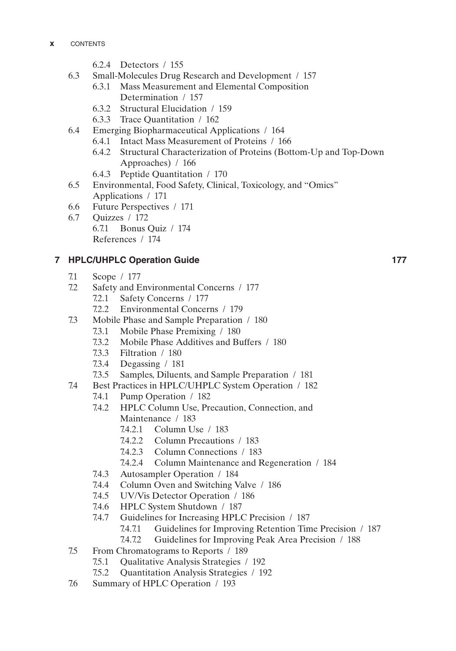- 6.2.4 Detectors / 155
- 6.3 Small-Molecules Drug Research and Development / 157
	- 6.3.1 Mass Measurement and Elemental Composition Determination / 157
		- 6.3.2 Structural Elucidation / 159
	- 6.3.3 Trace Quantitation / 162
- 6.4 Emerging Biopharmaceutical Applications / 164
	- 6.4.1 Intact Mass Measurement of Proteins / 166
	- 6.4.2 Structural Characterization of Proteins (Bottom-Up and Top-Down Approaches) / 166
	- 6.4.3 Peptide Quantitation / 170
- 6.5 Environmental, Food Safety, Clinical, Toxicology, and "Omics" Applications / 171
- 6.6 Future Perspectives / 171
- 6.7 Quizzes / 172 6.7.1 Bonus Quiz / 174 References / 174

#### **7 HPLC/UHPLC Operation Guide 177**

- 7.1 Scope / 177
- 7.2 Safety and Environmental Concerns / 177
	- 7.2.1 Safety Concerns / 177
	- 7.2.2 Environmental Concerns / 179
- 7.3 Mobile Phase and Sample Preparation / 180
	- 7.3.1 Mobile Phase Premixing / 180
	- 7.3.2 Mobile Phase Additives and Buffers / 180
	- 7.3.3 Filtration / 180
	- 7.3.4 Degassing / 181
	- 7.3.5 Samples, Diluents, and Sample Preparation / 181
	- 7.4 Best Practices in HPLC/UHPLC System Operation / 182
		- 7.4.1 Pump Operation / 182
		- 7.4.2 HPLC Column Use, Precaution, Connection, and Maintenance / 183
			- 7.4.2.1 Column Use / 183
			- 7.4.2.2 Column Precautions / 183
			- 7.4.2.3 Column Connections / 183
			- 7.4.2.4 Column Maintenance and Regeneration / 184
		- 7.4.3 Autosampler Operation / 184
		- 7.4.4 Column Oven and Switching Valve / 186
		- 7.4.5 UV/Vis Detector Operation / 186
		- 7.4.6 HPLC System Shutdown / 187
		- 7.4.7 Guidelines for Increasing HPLC Precision / 187
			- 7.4.7.1 Guidelines for Improving Retention Time Precision / 187
			- 7.4.7.2 Guidelines for Improving Peak Area Precision / 188
	- 7.5 From Chromatograms to Reports / 189
		- 7.5.1 Qualitative Analysis Strategies / 192
		- 7.5.2 Quantitation Analysis Strategies / 192
	- 7.6 Summary of HPLC Operation / 193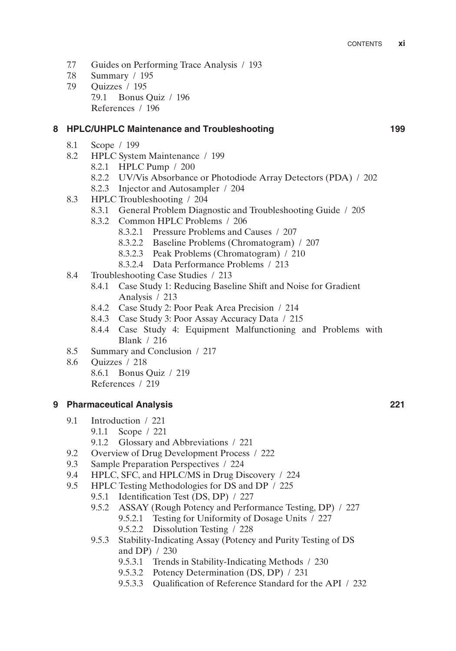- 7.7 Guides on Performing Trace Analysis / 193
- 7.8 Summary / 195<br>7.9 Ouizzes / 195
- Ouizzes / 195 7.9.1 Bonus Quiz / 196 References / 196

#### **8 HPLC/UHPLC Maintenance and Troubleshooting 199**

- 8.1 Scope / 199
- 8.2 HPLC System Maintenance / 199
	- 8.2.1 HPLC Pump / 200
	- 8.2.2 UV/Vis Absorbance or Photodiode Array Detectors (PDA) / 202
	- 8.2.3 Injector and Autosampler / 204
- 8.3 HPLC Troubleshooting / 204
	- 8.3.1 General Problem Diagnostic and Troubleshooting Guide / 205
	- 8.3.2 Common HPLC Problems / 206
		- 8.3.2.1 Pressure Problems and Causes / 207
		- 8.3.2.2 Baseline Problems (Chromatogram) / 207
		- 8.3.2.3 Peak Problems (Chromatogram) / 210
		- 8.3.2.4 Data Performance Problems / 213
- 8.4 Troubleshooting Case Studies / 213
	- 8.4.1 Case Study 1: Reducing Baseline Shift and Noise for Gradient Analysis / 213
	- 8.4.2 Case Study 2: Poor Peak Area Precision / 214
	- 8.4.3 Case Study 3: Poor Assay Accuracy Data / 215
- 8.4.4 Case Study 4: Equipment Malfunctioning and Problems with Blank / 216
	- 8.5 Summary and Conclusion / 217
	- 8.6 Quizzes / 218 8.6.1 Bonus Quiz / 219 References / 219

#### **9 Pharmaceutical Analysis 221**

- 9.1 Introduction / 221
	- 9.1.1 Scope / 221
	- 9.1.2 Glossary and Abbreviations / 221
- 9.2 Overview of Drug Development Process / 222
- 9.3 Sample Preparation Perspectives / 224
- 9.4 HPLC, SFC, and HPLC/MS in Drug Discovery / 224
- 9.5 HPLC Testing Methodologies for DS and DP / 225
	- 9.5.1 Identification Test (DS, DP) / 227
		- 9.5.2 ASSAY (Rough Potency and Performance Testing, DP) / 227
			- 9.5.2.1 Testing for Uniformity of Dosage Units / 227
			- 9.5.2.2 Dissolution Testing / 228
		- 9.5.3 Stability-Indicating Assay (Potency and Purity Testing of DS and DP) / 230
			- 9.5.3.1 Trends in Stability-Indicating Methods / 230
			- 9.5.3.2 Potency Determination (DS, DP) / 231
			- 9.5.3.3 Qualification of Reference Standard for the API / 232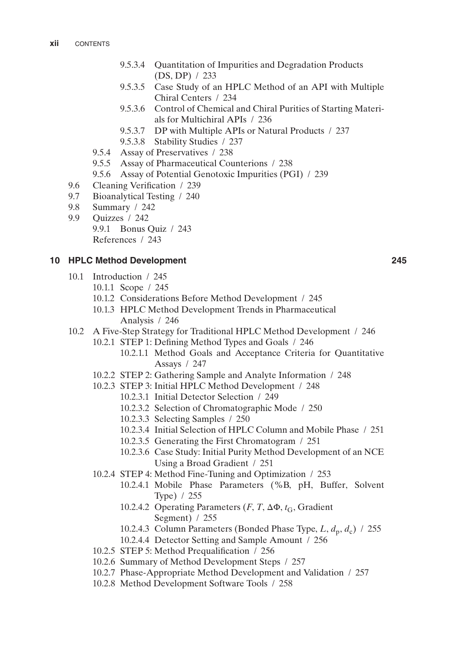- 9.5.3.4 Quantitation of Impurities and Degradation Products (DS, DP) / 233
- 9.5.3.5 Case Study of an HPLC Method of an API with Multiple Chiral Centers / 234
- 9.5.3.6 Control of Chemical and Chiral Purities of Starting Materials for Multichiral APIs / 236
- 9.5.3.7 DP with Multiple APIs or Natural Products / 237
- 9.5.3.8 Stability Studies / 237
- 9.5.4 Assay of Preservatives / 238
- 9.5.5 Assay of Pharmaceutical Counterions / 238
- 9.5.6 Assay of Potential Genotoxic Impurities (PGI) / 239
- 9.6 Cleaning Verification / 239
- 9.7 Bioanalytical Testing / 240
- 9.8 Summary / 242
- 9.9 Quizzes / 242 9.9.1 Bonus Quiz / 243 References / 243

#### **10 HPLC Method Development 245**

- 10.1 Introduction / 245
	- 10.1.1 Scope / 245
	- 10.1.2 Considerations Before Method Development / 245
	- 10.1.3 HPLC Method Development Trends in Pharmaceutical Analysis / 246
- Analysis / 240<br>10.2 A Five-Step Strategy for Traditional HPLC Method Development / 246
	- 10.2.1 STEP 1: Defining Method Types and Goals / 246
		- 10.2.1.1 Method Goals and Acceptance Criteria for Quantitative Assays / 247
	- 10.2.2 STEP 2: Gathering Sample and Analyte Information / 248
	- 10.2.3 STEP 3: Initial HPLC Method Development / 248
		- 10.2.3.1 Initial Detector Selection / 249
		- 10.2.3.2 Selection of Chromatographic Mode / 250
		- 10.2.3.3 Selecting Samples / 250
		- 10.2.3.4 Initial Selection of HPLC Column and Mobile Phase / 251
		- 10.2.3.5 Generating the First Chromatogram / 251
		- 10.2.3.6 Case Study: Initial Purity Method Development of an NCE Using a Broad Gradient / 251
	- 10.2.4 STEP 4: Method Fine-Tuning and Optimization / 253
		- 10.2.4.1 Mobile Phase Parameters (%B, pH, Buffer, Solvent Type) / 255
		- 10.2.4.2 Operating Parameters  $(F, T, \Delta \Phi, t_G, G$  Gradient Segment) / 255
		- 10.2.4.3 Column Parameters (Bonded Phase Type,  $L, d_n, d_c$ ) / 255
		- 10.2.4.4 Detector Setting and Sample Amount / 256
	- 10.2.5 STEP 5: Method Prequalification / 256
	- 10.2.6 Summary of Method Development Steps / 257
	- 10.2.7 Phase-Appropriate Method Development and Validation / 257
	- 10.2.8 Method Development Software Tools / 258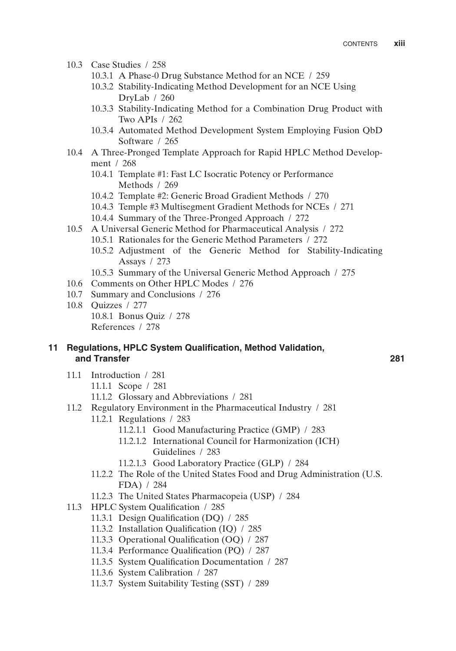- 10.3 Case Studies / 258
	- 10.3.1 A Phase-0 Drug Substance Method for an NCE / 259
	- 10.3.2 Stability-Indicating Method Development for an NCE Using DryLab / 260
	- 10.3.3 Stability-Indicating Method for a Combination Drug Product with Two APIs / 262
	- 10.3.4 Automated Method Development System Employing Fusion QbD Software / 265
- 10.4 A Three-Pronged Template Approach for Rapid HPLC Method Development / 268
	- 10.4.1 Template #1: Fast LC Isocratic Potency or Performance Methods / 269
	- 10.4.2 Template #2: Generic Broad Gradient Methods / 270
	- 10.4.3 Temple #3 Multisegment Gradient Methods for NCEs / 271
	- 10.4.4 Summary of the Three-Pronged Approach / 272
- 10.5 A Universal Generic Method for Pharmaceutical Analysis / 272
	- 10.5.1 Rationales for the Generic Method Parameters / 272
	- 10.5.2 Adjustment of the Generic Method for Stability-Indicating Assays / 273

10.5.3 Summary of the Universal Generic Method Approach / 275

- 10.6 Comments on Other HPLC Modes / 276
- 10.7 Summary and Conclusions / 276
- References / 278 10.8 Quizzes / 277 10.8.1 Bonus Quiz / 278

#### **11 Regulations, HPLC System Qualification, Method Validation, and Transfer 281**

- 11.1 Introduction / 281
	- 11.1.1 Scope / 281
	- 11.1.2 Glossary and Abbreviations / 281
- 11.2 Regulatory Environment in the Pharmaceutical Industry / 281
	- 11.2.1 Regulations / 283
		- 11.2.1.1 Good Manufacturing Practice (GMP) / 283
		- 11.2.1.2 International Council for Harmonization (ICH) Guidelines / 283
		- 11.2.1.3 Good Laboratory Practice (GLP) / 284
	- 11.2.2 The Role of the United States Food and Drug Administration (U.S. FDA) / 284
	- 11.2.3 The United States Pharmacopeia (USP) / 284
- 11.3 HPLC System Qualification / 285
	- 11.3.1 Design Qualification (DQ) / 285
	- 11.3.2 Installation Qualification (IQ) / 285
	- 11.3.3 Operational Qualification (OQ) / 287
	- 11.3.4 Performance Qualification (PQ) / 287
	- 11.3.5 System Qualification Documentation / 287
	- 11.3.6 System Calibration / 287
	- 11.3.7 System Suitability Testing (SST) / 289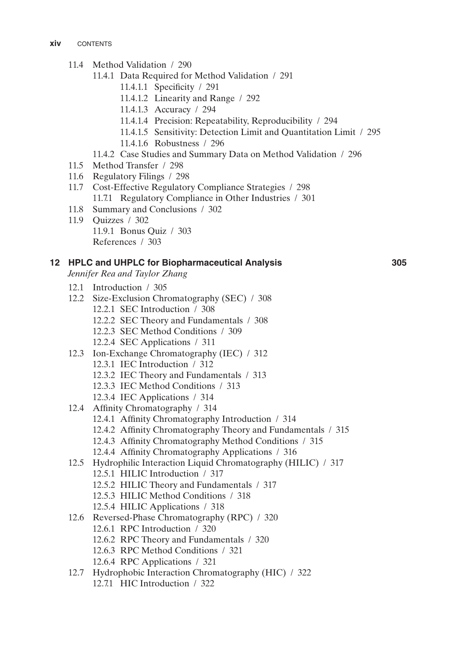- 11.4 Method Validation / 290
	- 11.4.1 Data Required for Method Validation / 291
		- 11.4.1.1 Specificity / 291
		- 11.4.1.2 Linearity and Range / 292
		- 11.4.1.3 Accuracy / 294
		- 11.4.1.4 Precision: Repeatability, Reproducibility / 294
		- 11.4.1.5 Sensitivity: Detection Limit and Quantitation Limit / 295
		- 11.4.1.6 Robustness / 296
	- 11.4.2 Case Studies and Summary Data on Method Validation / 296
- 11.5 Method Transfer / 298
- 11.6 Regulatory Filings / 298
- 11.7 Cost-Effective Regulatory Compliance Strategies / 298 11.7.1 Regulatory Compliance in Other Industries / 301
- 11.8 Summary and Conclusions / 302
- 11.9 Quizzes / 302 11.9.1 Bonus Quiz / 303 References / 303

#### **12 HPLC and UHPLC for Biopharmaceutical Analysis 305**

*Jennifer Rea and Taylor Zhang*

- 12.1 Introduction / 305
- 12.2 Size-Exclusion Chromatography (SEC) / 308
	- 12.2.1 SEC Introduction / 308
	- 12.2.2 SEC Theory and Fundamentals / 308
- 12.2.2 SEC Theory and Pundamentals 7 506<br>12.2.3 SEC Method Conditions / 309
	- 12.2.4 SEC Applications / 311
	- 12.3 Ion-Exchange Chromatography (IEC) / 312
		- 12.3.1 IEC Introduction / 312
		- 12.3.2 IEC Theory and Fundamentals / 313
		- 12.3.3 IEC Method Conditions / 313
		- 12.3.4 IEC Applications / 314
	- 12.4 Affinity Chromatography / 314
		- 12.4.1 Affinity Chromatography Introduction / 314
		- 12.4.2 Affinity Chromatography Theory and Fundamentals / 315
		- 12.4.3 Affinity Chromatography Method Conditions / 315
		- 12.4.4 Affinity Chromatography Applications / 316
	- 12.5 Hydrophilic Interaction Liquid Chromatography (HILIC) / 317
		- 12.5.1 HILIC Introduction / 317
		- 12.5.2 HILIC Theory and Fundamentals / 317
		- 12.5.3 HILIC Method Conditions / 318
		- 12.5.4 HILIC Applications / 318
	- 12.6 Reversed-Phase Chromatography (RPC) / 320
		- 12.6.1 RPC Introduction / 320
		- 12.6.2 RPC Theory and Fundamentals / 320
		- 12.6.3 RPC Method Conditions / 321
		- 12.6.4 RPC Applications / 321
	- 12.7 Hydrophobic Interaction Chromatography (HIC) / 322 12.7.1 HIC Introduction / 322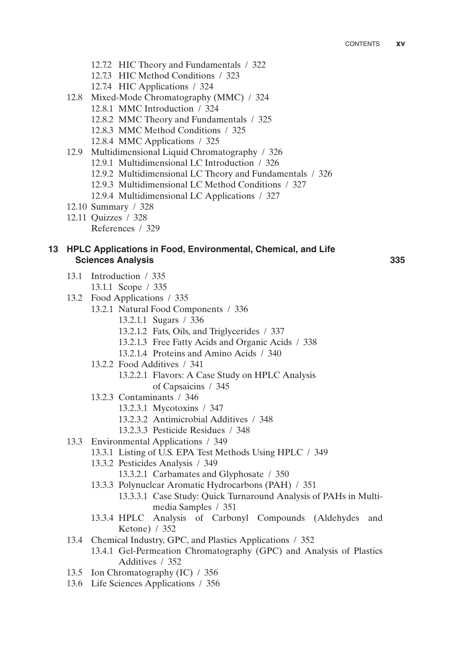- 12.7.2 HIC Theory and Fundamentals / 322
- 12.7.3 HIC Method Conditions / 323
- 12.7.4 HIC Applications / 324
- 12.8 Mixed-Mode Chromatography (MMC) / 324
	- 12.8.1 MMC Introduction / 324
	- 12.8.2 MMC Theory and Fundamentals / 325
	- 12.8.3 MMC Method Conditions / 325
	- 12.8.4 MMC Applications / 325
- 12.9 Multidimensional Liquid Chromatography / 326
	- 12.9.1 Multidimensional LC Introduction / 326
	- 12.9.2 Multidimensional LC Theory and Fundamentals / 326
	- 12.9.3 Multidimensional LC Method Conditions / 327
	- 12.9.4 Multidimensional LC Applications / 327
- 12.10 Summary / 328
- 12.11 Quizzes / 328
	- References / 329

#### **13 HPLC Applications in Food, Environmental, Chemical, and Life Sciences Analysis 335**

- 13.1 Introduction / 335
	- 13.1.1 Scope / 335
- 13.2 Food Applications / 335
	- 13.2.1 Natural Food Components / 336
		- 13.2.1.1 Sugars / 336
- $13.2.1.1$  Sugars  $\frac{1}{2}$  550
	- 13.2.1.3 Free Fatty Acids and Organic Acids / 338
	- 13.2.1.4 Proteins and Amino Acids / 340
	- 13.2.2 Food Additives / 341
		- 13.2.2.1 Flavors: A Case Study on HPLC Analysis of Capsaicins / 345
	- 13.2.3 Contaminants / 346
		- 13.2.3.1 Mycotoxins / 347
		- 13.2.3.2 Antimicrobial Additives / 348
		- 13.2.3.3 Pesticide Residues / 348
	- 13.3 Environmental Applications / 349
		- 13.3.1 Listing of U.S. EPA Test Methods Using HPLC / 349
		- 13.3.2 Pesticides Analysis / 349
			- 13.3.2.1 Carbamates and Glyphosate / 350
		- 13.3.3 Polynuclear Aromatic Hydrocarbons (PAH) / 351 13.3.3.1 Case Study: Quick Turnaround Analysis of PAHs in Multimedia Samples / 351
		- 13.3.4 HPLC Analysis of Carbonyl Compounds (Aldehydes and Ketone) / 352
	- 13.4 Chemical Industry, GPC, and Plastics Applications / 352
		- 13.4.1 Gel-Permeation Chromatography (GPC) and Analysis of Plastics Additives / 352
	- 13.5 Ion Chromatography (IC) / 356
	- 13.6 Life Sciences Applications / 356